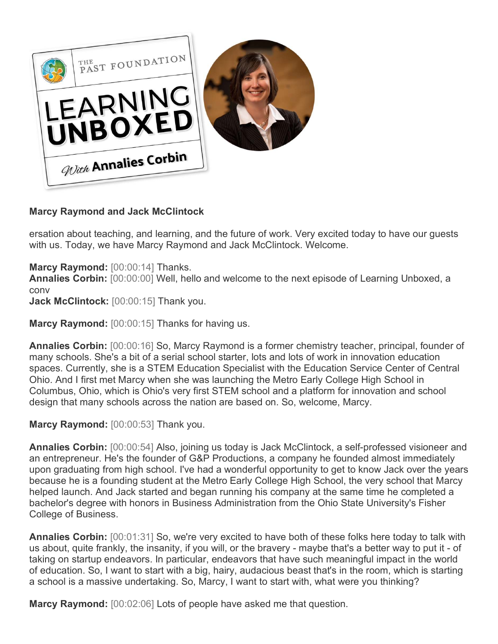

## **Marcy Raymond and Jack McClintock**

ersation about teaching, and learning, and the future of work. Very excited today to have our guests with us. Today, we have Marcy Raymond and Jack McClintock. Welcome.

**Marcy Raymond:** [00:00:14] Thanks.

**Annalies Corbin:** [00:00:00] Well, hello and welcome to the next episode of Learning Unboxed, a conv

**Jack McClintock:** [00:00:15] Thank you.

**Marcy Raymond:** [00:00:15] Thanks for having us.

**Annalies Corbin:** [00:00:16] So, Marcy Raymond is a former chemistry teacher, principal, founder of many schools. She's a bit of a serial school starter, lots and lots of work in innovation education spaces. Currently, she is a STEM Education Specialist with the Education Service Center of Central Ohio. And I first met Marcy when she was launching the Metro Early College High School in Columbus, Ohio, which is Ohio's very first STEM school and a platform for innovation and school design that many schools across the nation are based on. So, welcome, Marcy.

**Marcy Raymond:** [00:00:53] Thank you.

**Annalies Corbin:** [00:00:54] Also, joining us today is Jack McClintock, a self-professed visioneer and an entrepreneur. He's the founder of G&P Productions, a company he founded almost immediately upon graduating from high school. I've had a wonderful opportunity to get to know Jack over the years because he is a founding student at the Metro Early College High School, the very school that Marcy helped launch. And Jack started and began running his company at the same time he completed a bachelor's degree with honors in Business Administration from the Ohio State University's Fisher College of Business.

**Annalies Corbin:** [00:01:31] So, we're very excited to have both of these folks here today to talk with us about, quite frankly, the insanity, if you will, or the bravery - maybe that's a better way to put it - of taking on startup endeavors. In particular, endeavors that have such meaningful impact in the world of education. So, I want to start with a big, hairy, audacious beast that's in the room, which is starting a school is a massive undertaking. So, Marcy, I want to start with, what were you thinking?

**Marcy Raymond:** [00:02:06] Lots of people have asked me that question.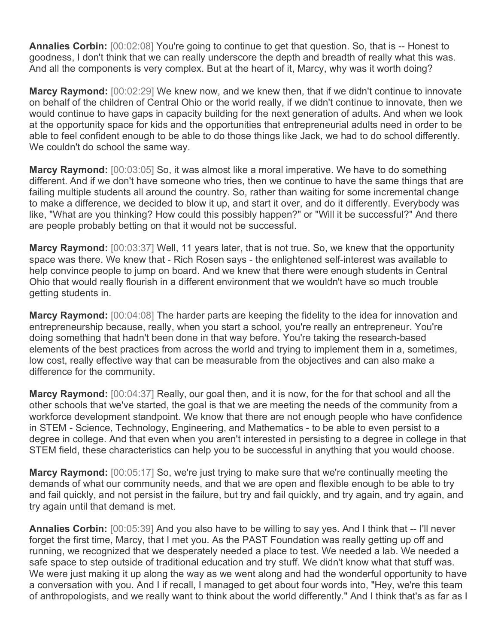**Annalies Corbin:** [00:02:08] You're going to continue to get that question. So, that is -- Honest to goodness, I don't think that we can really underscore the depth and breadth of really what this was. And all the components is very complex. But at the heart of it, Marcy, why was it worth doing?

**Marcy Raymond:** [00:02:29] We knew now, and we knew then, that if we didn't continue to innovate on behalf of the children of Central Ohio or the world really, if we didn't continue to innovate, then we would continue to have gaps in capacity building for the next generation of adults. And when we look at the opportunity space for kids and the opportunities that entrepreneurial adults need in order to be able to feel confident enough to be able to do those things like Jack, we had to do school differently. We couldn't do school the same way.

**Marcy Raymond:** [00:03:05] So, it was almost like a moral imperative. We have to do something different. And if we don't have someone who tries, then we continue to have the same things that are failing multiple students all around the country. So, rather than waiting for some incremental change to make a difference, we decided to blow it up, and start it over, and do it differently. Everybody was like, "What are you thinking? How could this possibly happen?" or "Will it be successful?" And there are people probably betting on that it would not be successful.

**Marcy Raymond:** [00:03:37] Well, 11 years later, that is not true. So, we knew that the opportunity space was there. We knew that - Rich Rosen says - the enlightened self-interest was available to help convince people to jump on board. And we knew that there were enough students in Central Ohio that would really flourish in a different environment that we wouldn't have so much trouble getting students in.

**Marcy Raymond:** [00:04:08] The harder parts are keeping the fidelity to the idea for innovation and entrepreneurship because, really, when you start a school, you're really an entrepreneur. You're doing something that hadn't been done in that way before. You're taking the research-based elements of the best practices from across the world and trying to implement them in a, sometimes, low cost, really effective way that can be measurable from the objectives and can also make a difference for the community.

**Marcy Raymond:** [00:04:37] Really, our goal then, and it is now, for the for that school and all the other schools that we've started, the goal is that we are meeting the needs of the community from a workforce development standpoint. We know that there are not enough people who have confidence in STEM - Science, Technology, Engineering, and Mathematics - to be able to even persist to a degree in college. And that even when you aren't interested in persisting to a degree in college in that STEM field, these characteristics can help you to be successful in anything that you would choose.

**Marcy Raymond:** [00:05:17] So, we're just trying to make sure that we're continually meeting the demands of what our community needs, and that we are open and flexible enough to be able to try and fail quickly, and not persist in the failure, but try and fail quickly, and try again, and try again, and try again until that demand is met.

**Annalies Corbin:** [00:05:39] And you also have to be willing to say yes. And I think that -- I'll never forget the first time, Marcy, that I met you. As the PAST Foundation was really getting up off and running, we recognized that we desperately needed a place to test. We needed a lab. We needed a safe space to step outside of traditional education and try stuff. We didn't know what that stuff was. We were just making it up along the way as we went along and had the wonderful opportunity to have a conversation with you. And I if recall, I managed to get about four words into, "Hey, we're this team of anthropologists, and we really want to think about the world differently." And I think that's as far as I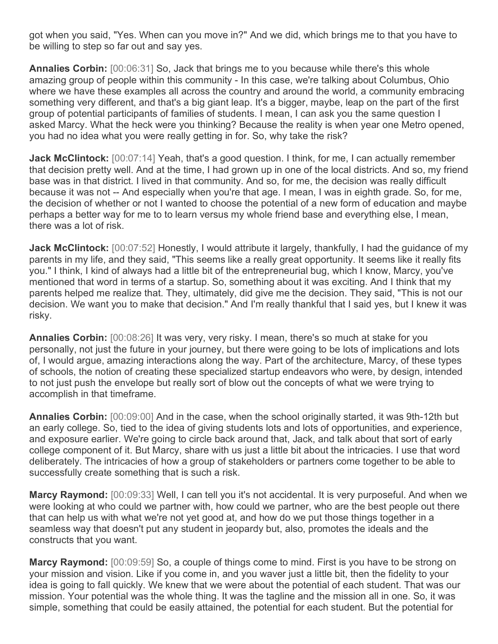got when you said, "Yes. When can you move in?" And we did, which brings me to that you have to be willing to step so far out and say yes.

**Annalies Corbin:** [00:06:31] So, Jack that brings me to you because while there's this whole amazing group of people within this community - In this case, we're talking about Columbus, Ohio where we have these examples all across the country and around the world, a community embracing something very different, and that's a big giant leap. It's a bigger, maybe, leap on the part of the first group of potential participants of families of students. I mean, I can ask you the same question I asked Marcy. What the heck were you thinking? Because the reality is when year one Metro opened, you had no idea what you were really getting in for. So, why take the risk?

**Jack McClintock:** [00:07:14] Yeah, that's a good question. I think, for me, I can actually remember that decision pretty well. And at the time, I had grown up in one of the local districts. And so, my friend base was in that district. I lived in that community. And so, for me, the decision was really difficult because it was not -- And especially when you're that age. I mean, I was in eighth grade. So, for me, the decision of whether or not I wanted to choose the potential of a new form of education and maybe perhaps a better way for me to to learn versus my whole friend base and everything else, I mean, there was a lot of risk.

Jack McClintock: [00:07:52] Honestly, I would attribute it largely, thankfully, I had the guidance of my parents in my life, and they said, "This seems like a really great opportunity. It seems like it really fits you." I think, I kind of always had a little bit of the entrepreneurial bug, which I know, Marcy, you've mentioned that word in terms of a startup. So, something about it was exciting. And I think that my parents helped me realize that. They, ultimately, did give me the decision. They said, "This is not our decision. We want you to make that decision." And I'm really thankful that I said yes, but I knew it was risky.

**Annalies Corbin:** [00:08:26] It was very, very risky. I mean, there's so much at stake for you personally, not just the future in your journey, but there were going to be lots of implications and lots of, I would argue, amazing interactions along the way. Part of the architecture, Marcy, of these types of schools, the notion of creating these specialized startup endeavors who were, by design, intended to not just push the envelope but really sort of blow out the concepts of what we were trying to accomplish in that timeframe.

**Annalies Corbin:** [00:09:00] And in the case, when the school originally started, it was 9th-12th but an early college. So, tied to the idea of giving students lots and lots of opportunities, and experience, and exposure earlier. We're going to circle back around that, Jack, and talk about that sort of early college component of it. But Marcy, share with us just a little bit about the intricacies. I use that word deliberately. The intricacies of how a group of stakeholders or partners come together to be able to successfully create something that is such a risk.

**Marcy Raymond:** [00:09:33] Well, I can tell you it's not accidental. It is very purposeful. And when we were looking at who could we partner with, how could we partner, who are the best people out there that can help us with what we're not yet good at, and how do we put those things together in a seamless way that doesn't put any student in jeopardy but, also, promotes the ideals and the constructs that you want.

**Marcy Raymond:** [00:09:59] So, a couple of things come to mind. First is you have to be strong on your mission and vision. Like if you come in, and you waver just a little bit, then the fidelity to your idea is going to fall quickly. We knew that we were about the potential of each student. That was our mission. Your potential was the whole thing. It was the tagline and the mission all in one. So, it was simple, something that could be easily attained, the potential for each student. But the potential for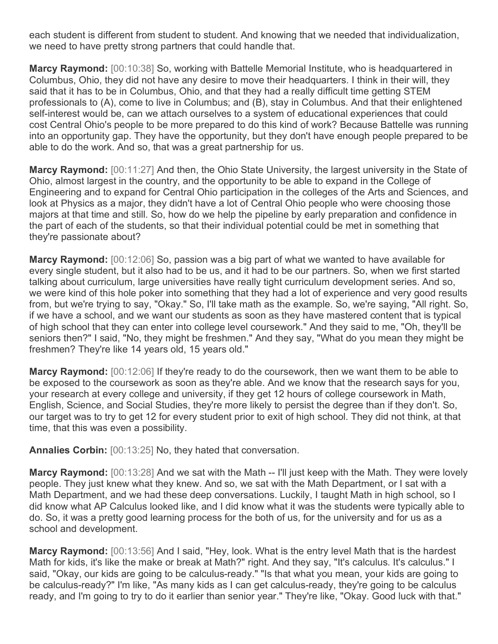each student is different from student to student. And knowing that we needed that individualization, we need to have pretty strong partners that could handle that.

**Marcy Raymond:** [00:10:38] So, working with Battelle Memorial Institute, who is headquartered in Columbus, Ohio, they did not have any desire to move their headquarters. I think in their will, they said that it has to be in Columbus, Ohio, and that they had a really difficult time getting STEM professionals to (A), come to live in Columbus; and (B), stay in Columbus. And that their enlightened self-interest would be, can we attach ourselves to a system of educational experiences that could cost Central Ohio's people to be more prepared to do this kind of work? Because Battelle was running into an opportunity gap. They have the opportunity, but they don't have enough people prepared to be able to do the work. And so, that was a great partnership for us.

**Marcy Raymond:** [00:11:27] And then, the Ohio State University, the largest university in the State of Ohio, almost largest in the country, and the opportunity to be able to expand in the College of Engineering and to expand for Central Ohio participation in the colleges of the Arts and Sciences, and look at Physics as a major, they didn't have a lot of Central Ohio people who were choosing those majors at that time and still. So, how do we help the pipeline by early preparation and confidence in the part of each of the students, so that their individual potential could be met in something that they're passionate about?

**Marcy Raymond:** [00:12:06] So, passion was a big part of what we wanted to have available for every single student, but it also had to be us, and it had to be our partners. So, when we first started talking about curriculum, large universities have really tight curriculum development series. And so, we were kind of this hole poker into something that they had a lot of experience and very good results from, but we're trying to say, "Okay." So, I'll take math as the example. So, we're saying, "All right. So, if we have a school, and we want our students as soon as they have mastered content that is typical of high school that they can enter into college level coursework." And they said to me, "Oh, they'll be seniors then?" I said, "No, they might be freshmen." And they say, "What do you mean they might be freshmen? They're like 14 years old, 15 years old."

**Marcy Raymond:** [00:12:06] If they're ready to do the coursework, then we want them to be able to be exposed to the coursework as soon as they're able. And we know that the research says for you, your research at every college and university, if they get 12 hours of college coursework in Math, English, Science, and Social Studies, they're more likely to persist the degree than if they don't. So, our target was to try to get 12 for every student prior to exit of high school. They did not think, at that time, that this was even a possibility.

**Annalies Corbin:** [00:13:25] No, they hated that conversation.

**Marcy Raymond:** [00:13:28] And we sat with the Math -- I'll just keep with the Math. They were lovely people. They just knew what they knew. And so, we sat with the Math Department, or I sat with a Math Department, and we had these deep conversations. Luckily, I taught Math in high school, so I did know what AP Calculus looked like, and I did know what it was the students were typically able to do. So, it was a pretty good learning process for the both of us, for the university and for us as a school and development.

**Marcy Raymond:** [00:13:56] And I said, "Hey, look. What is the entry level Math that is the hardest Math for kids, it's like the make or break at Math?" right. And they say, "It's calculus. It's calculus." I said, "Okay, our kids are going to be calculus-ready." "Is that what you mean, your kids are going to be calculus-ready?" I'm like, "As many kids as I can get calculus-ready, they're going to be calculus ready, and I'm going to try to do it earlier than senior year." They're like, "Okay. Good luck with that."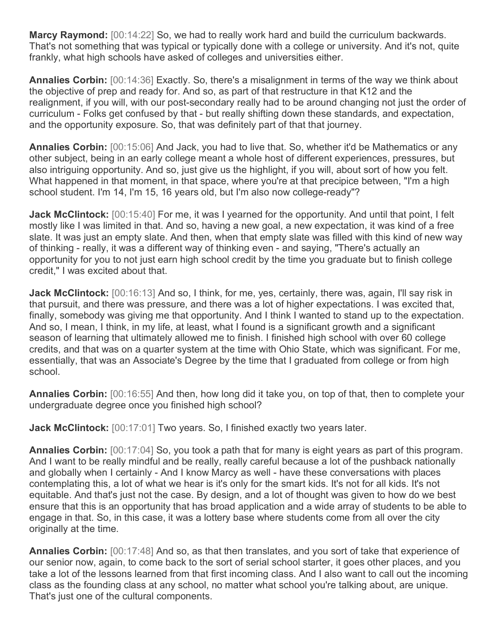**Marcy Raymond:** [00:14:22] So, we had to really work hard and build the curriculum backwards. That's not something that was typical or typically done with a college or university. And it's not, quite frankly, what high schools have asked of colleges and universities either.

**Annalies Corbin:** [00:14:36] Exactly. So, there's a misalignment in terms of the way we think about the objective of prep and ready for. And so, as part of that restructure in that K12 and the realignment, if you will, with our post-secondary really had to be around changing not just the order of curriculum - Folks get confused by that - but really shifting down these standards, and expectation, and the opportunity exposure. So, that was definitely part of that that journey.

**Annalies Corbin:** [00:15:06] And Jack, you had to live that. So, whether it'd be Mathematics or any other subject, being in an early college meant a whole host of different experiences, pressures, but also intriguing opportunity. And so, just give us the highlight, if you will, about sort of how you felt. What happened in that moment, in that space, where you're at that precipice between, "I'm a high school student. I'm 14, I'm 15, 16 years old, but I'm also now college-ready"?

**Jack McClintock:** [00:15:40] For me, it was I yearned for the opportunity. And until that point, I felt mostly like I was limited in that. And so, having a new goal, a new expectation, it was kind of a free slate. It was just an empty slate. And then, when that empty slate was filled with this kind of new way of thinking - really, it was a different way of thinking even - and saying, "There's actually an opportunity for you to not just earn high school credit by the time you graduate but to finish college credit," I was excited about that.

**Jack McClintock:** [00:16:13] And so, I think, for me, yes, certainly, there was, again, I'll say risk in that pursuit, and there was pressure, and there was a lot of higher expectations. I was excited that, finally, somebody was giving me that opportunity. And I think I wanted to stand up to the expectation. And so, I mean, I think, in my life, at least, what I found is a significant growth and a significant season of learning that ultimately allowed me to finish. I finished high school with over 60 college credits, and that was on a quarter system at the time with Ohio State, which was significant. For me, essentially, that was an Associate's Degree by the time that I graduated from college or from high school.

**Annalies Corbin:** [00:16:55] And then, how long did it take you, on top of that, then to complete your undergraduate degree once you finished high school?

**Jack McClintock:** [00:17:01] Two years. So, I finished exactly two years later.

**Annalies Corbin:** [00:17:04] So, you took a path that for many is eight years as part of this program. And I want to be really mindful and be really, really careful because a lot of the pushback nationally and globally when I certainly - And I know Marcy as well - have these conversations with places contemplating this, a lot of what we hear is it's only for the smart kids. It's not for all kids. It's not equitable. And that's just not the case. By design, and a lot of thought was given to how do we best ensure that this is an opportunity that has broad application and a wide array of students to be able to engage in that. So, in this case, it was a lottery base where students come from all over the city originally at the time.

**Annalies Corbin:** [00:17:48] And so, as that then translates, and you sort of take that experience of our senior now, again, to come back to the sort of serial school starter, it goes other places, and you take a lot of the lessons learned from that first incoming class. And I also want to call out the incoming class as the founding class at any school, no matter what school you're talking about, are unique. That's just one of the cultural components.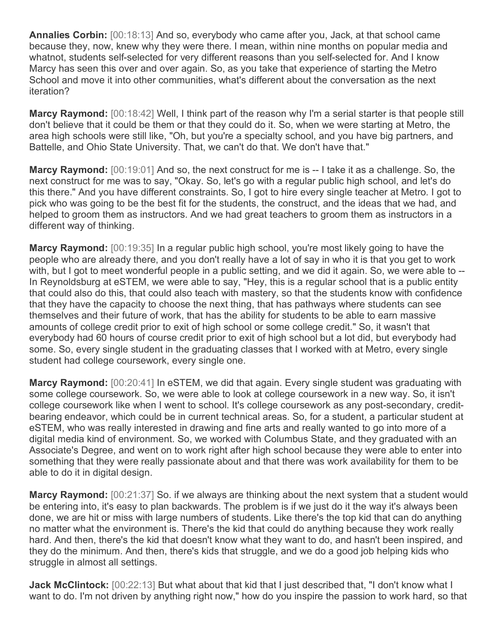**Annalies Corbin:** [00:18:13] And so, everybody who came after you, Jack, at that school came because they, now, knew why they were there. I mean, within nine months on popular media and whatnot, students self-selected for very different reasons than you self-selected for. And I know Marcy has seen this over and over again. So, as you take that experience of starting the Metro School and move it into other communities, what's different about the conversation as the next iteration?

**Marcy Raymond:** [00:18:42] Well, I think part of the reason why I'm a serial starter is that people still don't believe that it could be them or that they could do it. So, when we were starting at Metro, the area high schools were still like, "Oh, but you're a specialty school, and you have big partners, and Battelle, and Ohio State University. That, we can't do that. We don't have that."

**Marcy Raymond:** [00:19:01] And so, the next construct for me is -- I take it as a challenge. So, the next construct for me was to say, "Okay. So, let's go with a regular public high school, and let's do this there." And you have different constraints. So, I got to hire every single teacher at Metro. I got to pick who was going to be the best fit for the students, the construct, and the ideas that we had, and helped to groom them as instructors. And we had great teachers to groom them as instructors in a different way of thinking.

**Marcy Raymond:** [00:19:35] In a regular public high school, you're most likely going to have the people who are already there, and you don't really have a lot of say in who it is that you get to work with, but I got to meet wonderful people in a public setting, and we did it again. So, we were able to --In Reynoldsburg at eSTEM, we were able to say, "Hey, this is a regular school that is a public entity that could also do this, that could also teach with mastery, so that the students know with confidence that they have the capacity to choose the next thing, that has pathways where students can see themselves and their future of work, that has the ability for students to be able to earn massive amounts of college credit prior to exit of high school or some college credit." So, it wasn't that everybody had 60 hours of course credit prior to exit of high school but a lot did, but everybody had some. So, every single student in the graduating classes that I worked with at Metro, every single student had college coursework, every single one.

**Marcy Raymond:** [00:20:41] In eSTEM, we did that again. Every single student was graduating with some college coursework. So, we were able to look at college coursework in a new way. So, it isn't college coursework like when I went to school. It's college coursework as any post-secondary, creditbearing endeavor, which could be in current technical areas. So, for a student, a particular student at eSTEM, who was really interested in drawing and fine arts and really wanted to go into more of a digital media kind of environment. So, we worked with Columbus State, and they graduated with an Associate's Degree, and went on to work right after high school because they were able to enter into something that they were really passionate about and that there was work availability for them to be able to do it in digital design.

**Marcy Raymond:** [00:21:37] So. if we always are thinking about the next system that a student would be entering into, it's easy to plan backwards. The problem is if we just do it the way it's always been done, we are hit or miss with large numbers of students. Like there's the top kid that can do anything no matter what the environment is. There's the kid that could do anything because they work really hard. And then, there's the kid that doesn't know what they want to do, and hasn't been inspired, and they do the minimum. And then, there's kids that struggle, and we do a good job helping kids who struggle in almost all settings.

**Jack McClintock:** [00:22:13] But what about that kid that I just described that, "I don't know what I want to do. I'm not driven by anything right now," how do you inspire the passion to work hard, so that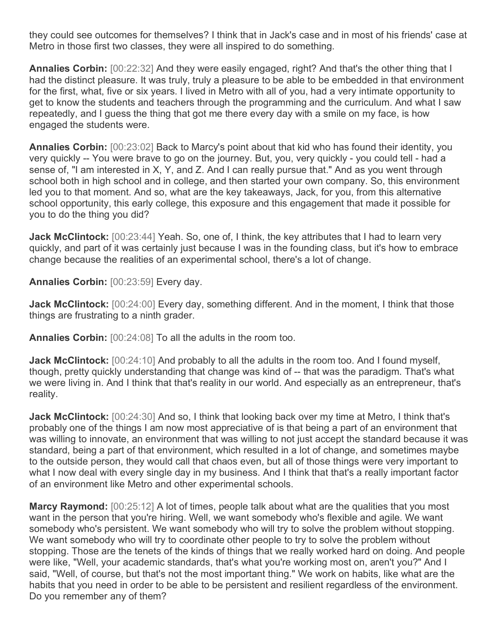they could see outcomes for themselves? I think that in Jack's case and in most of his friends' case at Metro in those first two classes, they were all inspired to do something.

**Annalies Corbin:** [00:22:32] And they were easily engaged, right? And that's the other thing that I had the distinct pleasure. It was truly, truly a pleasure to be able to be embedded in that environment for the first, what, five or six years. I lived in Metro with all of you, had a very intimate opportunity to get to know the students and teachers through the programming and the curriculum. And what I saw repeatedly, and I guess the thing that got me there every day with a smile on my face, is how engaged the students were.

**Annalies Corbin:** [00:23:02] Back to Marcy's point about that kid who has found their identity, you very quickly -- You were brave to go on the journey. But, you, very quickly - you could tell - had a sense of, "I am interested in X, Y, and Z. And I can really pursue that." And as you went through school both in high school and in college, and then started your own company. So, this environment led you to that moment. And so, what are the key takeaways, Jack, for you, from this alternative school opportunity, this early college, this exposure and this engagement that made it possible for you to do the thing you did?

**Jack McClintock:** [00:23:44] Yeah. So, one of, I think, the key attributes that I had to learn very quickly, and part of it was certainly just because I was in the founding class, but it's how to embrace change because the realities of an experimental school, there's a lot of change.

**Annalies Corbin:** [00:23:59] Every day.

**Jack McClintock:** [00:24:00] Every day, something different. And in the moment, I think that those things are frustrating to a ninth grader.

**Annalies Corbin:** [00:24:08] To all the adults in the room too.

**Jack McClintock:** [00:24:10] And probably to all the adults in the room too. And I found myself, though, pretty quickly understanding that change was kind of -- that was the paradigm. That's what we were living in. And I think that that's reality in our world. And especially as an entrepreneur, that's reality.

**Jack McClintock:** [00:24:30] And so, I think that looking back over my time at Metro, I think that's probably one of the things I am now most appreciative of is that being a part of an environment that was willing to innovate, an environment that was willing to not just accept the standard because it was standard, being a part of that environment, which resulted in a lot of change, and sometimes maybe to the outside person, they would call that chaos even, but all of those things were very important to what I now deal with every single day in my business. And I think that that's a really important factor of an environment like Metro and other experimental schools.

**Marcy Raymond:** [00:25:12] A lot of times, people talk about what are the qualities that you most want in the person that you're hiring. Well, we want somebody who's flexible and agile. We want somebody who's persistent. We want somebody who will try to solve the problem without stopping. We want somebody who will try to coordinate other people to try to solve the problem without stopping. Those are the tenets of the kinds of things that we really worked hard on doing. And people were like, "Well, your academic standards, that's what you're working most on, aren't you?" And I said, "Well, of course, but that's not the most important thing." We work on habits, like what are the habits that you need in order to be able to be persistent and resilient regardless of the environment. Do you remember any of them?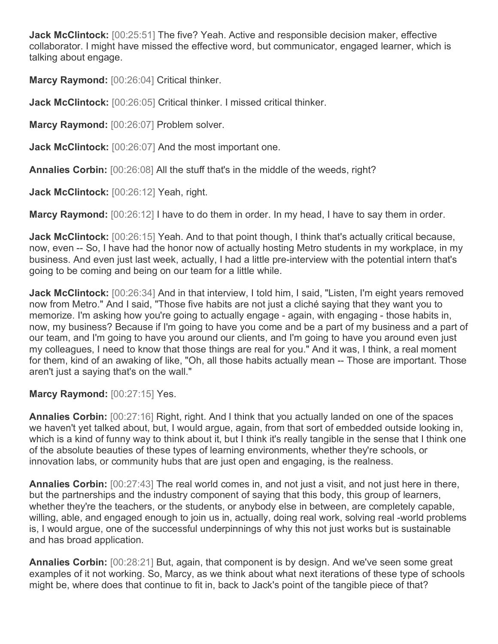**Jack McClintock:** [00:25:51] The five? Yeah. Active and responsible decision maker, effective collaborator. I might have missed the effective word, but communicator, engaged learner, which is talking about engage.

**Marcy Raymond:** [00:26:04] Critical thinker.

**Jack McClintock:** [00:26:05] Critical thinker. I missed critical thinker.

**Marcy Raymond:** [00:26:07] Problem solver.

**Jack McClintock:** [00:26:07] And the most important one.

**Annalies Corbin:** [00:26:08] All the stuff that's in the middle of the weeds, right?

**Jack McClintock:** [00:26:12] Yeah, right.

**Marcy Raymond:** [00:26:12] I have to do them in order. In my head, I have to say them in order.

Jack McClintock: [00:26:15] Yeah. And to that point though, I think that's actually critical because, now, even -- So, I have had the honor now of actually hosting Metro students in my workplace, in my business. And even just last week, actually, I had a little pre-interview with the potential intern that's going to be coming and being on our team for a little while.

**Jack McClintock:** [00:26:34] And in that interview, I told him, I said, "Listen, I'm eight years removed now from Metro." And I said, "Those five habits are not just a cliché saying that they want you to memorize. I'm asking how you're going to actually engage - again, with engaging - those habits in, now, my business? Because if I'm going to have you come and be a part of my business and a part of our team, and I'm going to have you around our clients, and I'm going to have you around even just my colleagues, I need to know that those things are real for you." And it was, I think, a real moment for them, kind of an awaking of like, "Oh, all those habits actually mean -- Those are important. Those aren't just a saying that's on the wall."

## **Marcy Raymond:** [00:27:15] Yes.

**Annalies Corbin:** [00:27:16] Right, right. And I think that you actually landed on one of the spaces we haven't yet talked about, but, I would argue, again, from that sort of embedded outside looking in, which is a kind of funny way to think about it, but I think it's really tangible in the sense that I think one of the absolute beauties of these types of learning environments, whether they're schools, or innovation labs, or community hubs that are just open and engaging, is the realness.

**Annalies Corbin:** [00:27:43] The real world comes in, and not just a visit, and not just here in there, but the partnerships and the industry component of saying that this body, this group of learners, whether they're the teachers, or the students, or anybody else in between, are completely capable, willing, able, and engaged enough to join us in, actually, doing real work, solving real -world problems is, I would argue, one of the successful underpinnings of why this not just works but is sustainable and has broad application.

**Annalies Corbin:** [00:28:21] But, again, that component is by design. And we've seen some great examples of it not working. So, Marcy, as we think about what next iterations of these type of schools might be, where does that continue to fit in, back to Jack's point of the tangible piece of that?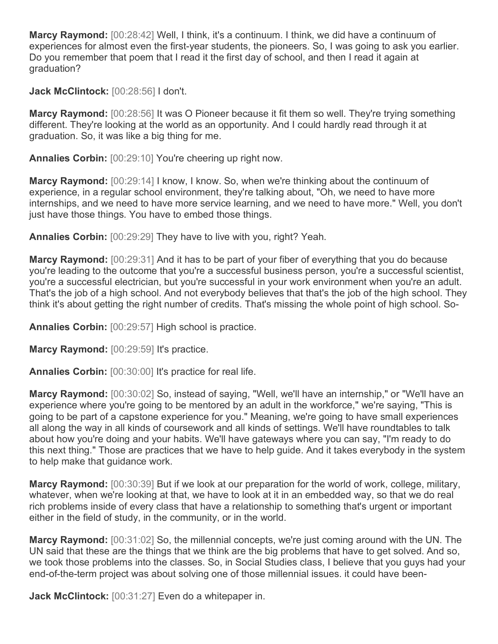**Marcy Raymond:** [00:28:42] Well, I think, it's a continuum. I think, we did have a continuum of experiences for almost even the first-year students, the pioneers. So, I was going to ask you earlier. Do you remember that poem that I read it the first day of school, and then I read it again at graduation?

**Jack McClintock:** [00:28:56] I don't.

**Marcy Raymond:** [00:28:56] It was O Pioneer because it fit them so well. They're trying something different. They're looking at the world as an opportunity. And I could hardly read through it at graduation. So, it was like a big thing for me.

**Annalies Corbin:** [00:29:10] You're cheering up right now.

**Marcy Raymond:** [00:29:14] I know, I know. So, when we're thinking about the continuum of experience, in a regular school environment, they're talking about, "Oh, we need to have more internships, and we need to have more service learning, and we need to have more." Well, you don't just have those things. You have to embed those things.

**Annalies Corbin:** [00:29:29] They have to live with you, right? Yeah.

**Marcy Raymond:** [00:29:31] And it has to be part of your fiber of everything that you do because you're leading to the outcome that you're a successful business person, you're a successful scientist, you're a successful electrician, but you're successful in your work environment when you're an adult. That's the job of a high school. And not everybody believes that that's the job of the high school. They think it's about getting the right number of credits. That's missing the whole point of high school. So-

**Annalies Corbin:** [00:29:57] High school is practice.

**Marcy Raymond:** [00:29:59] It's practice.

**Annalies Corbin:** [00:30:00] It's practice for real life.

**Marcy Raymond:** [00:30:02] So, instead of saying, "Well, we'll have an internship," or "We'll have an experience where you're going to be mentored by an adult in the workforce," we're saying, "This is going to be part of a capstone experience for you." Meaning, we're going to have small experiences all along the way in all kinds of coursework and all kinds of settings. We'll have roundtables to talk about how you're doing and your habits. We'll have gateways where you can say, "I'm ready to do this next thing." Those are practices that we have to help guide. And it takes everybody in the system to help make that guidance work.

**Marcy Raymond:** [00:30:39] But if we look at our preparation for the world of work, college, military, whatever, when we're looking at that, we have to look at it in an embedded way, so that we do real rich problems inside of every class that have a relationship to something that's urgent or important either in the field of study, in the community, or in the world.

**Marcy Raymond:** [00:31:02] So, the millennial concepts, we're just coming around with the UN. The UN said that these are the things that we think are the big problems that have to get solved. And so, we took those problems into the classes. So, in Social Studies class, I believe that you guys had your end-of-the-term project was about solving one of those millennial issues. it could have been-

**Jack McClintock:** [00:31:27] Even do a whitepaper in.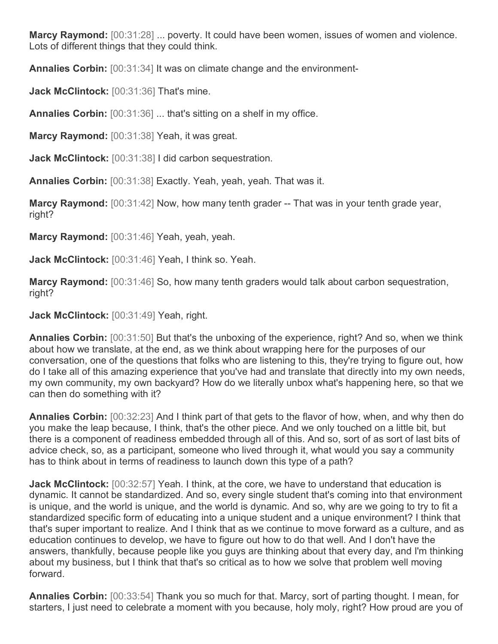**Marcy Raymond:** [00:31:28] ... poverty. It could have been women, issues of women and violence. Lots of different things that they could think.

**Annalies Corbin:** [00:31:34] It was on climate change and the environment-

**Jack McClintock:** [00:31:36] That's mine.

**Annalies Corbin:** [00:31:36] ... that's sitting on a shelf in my office.

**Marcy Raymond:** [00:31:38] Yeah, it was great.

**Jack McClintock:** [00:31:38] I did carbon sequestration.

**Annalies Corbin:** [00:31:38] Exactly. Yeah, yeah, yeah. That was it.

**Marcy Raymond:** [00:31:42] Now, how many tenth grader -- That was in your tenth grade year, right?

**Marcy Raymond:** [00:31:46] Yeah, yeah, yeah.

**Jack McClintock:** [00:31:46] Yeah, I think so. Yeah.

**Marcy Raymond:** [00:31:46] So, how many tenth graders would talk about carbon sequestration, right?

**Jack McClintock:** [00:31:49] Yeah, right.

**Annalies Corbin:** [00:31:50] But that's the unboxing of the experience, right? And so, when we think about how we translate, at the end, as we think about wrapping here for the purposes of our conversation, one of the questions that folks who are listening to this, they're trying to figure out, how do I take all of this amazing experience that you've had and translate that directly into my own needs, my own community, my own backyard? How do we literally unbox what's happening here, so that we can then do something with it?

**Annalies Corbin:** [00:32:23] And I think part of that gets to the flavor of how, when, and why then do you make the leap because, I think, that's the other piece. And we only touched on a little bit, but there is a component of readiness embedded through all of this. And so, sort of as sort of last bits of advice check, so, as a participant, someone who lived through it, what would you say a community has to think about in terms of readiness to launch down this type of a path?

**Jack McClintock:** [00:32:57] Yeah. I think, at the core, we have to understand that education is dynamic. It cannot be standardized. And so, every single student that's coming into that environment is unique, and the world is unique, and the world is dynamic. And so, why are we going to try to fit a standardized specific form of educating into a unique student and a unique environment? I think that that's super important to realize. And I think that as we continue to move forward as a culture, and as education continues to develop, we have to figure out how to do that well. And I don't have the answers, thankfully, because people like you guys are thinking about that every day, and I'm thinking about my business, but I think that that's so critical as to how we solve that problem well moving forward.

**Annalies Corbin:** [00:33:54] Thank you so much for that. Marcy, sort of parting thought. I mean, for starters, I just need to celebrate a moment with you because, holy moly, right? How proud are you of